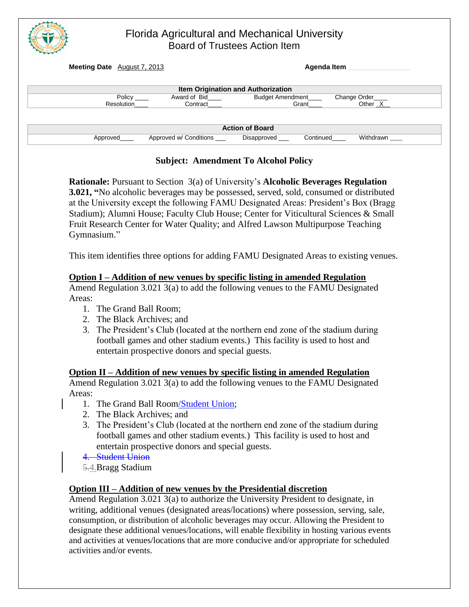| Florida Agricultural and Mechanical University<br><b>Board of Trustees Action Item</b>                |                          |                                                                                                         |
|-------------------------------------------------------------------------------------------------------|--------------------------|---------------------------------------------------------------------------------------------------------|
| <b>Meeting Date</b> August 7, 2013                                                                    |                          | Agenda Item                                                                                             |
| Policy $\_\_$<br>Resolution                                                                           | Award of Bid<br>Contract | Item Origination and Authorization<br>Change Order<br>Budget Amendment<br>Other <sub>_X_</sub><br>Grant |
| <b>Action of Board</b><br>Approved w/ Conditions<br>Withdrawn<br>Continued<br>Disapproved<br>Approved |                          |                                                                                                         |

## **Subject: Amendment To Alcohol Policy**

**Rationale:** Pursuant to Section 3(a) of University's **Alcoholic Beverages Regulation 3.021, "**No alcoholic beverages may be possessed, served, sold, consumed or distributed at the University except the following FAMU Designated Areas: President's Box (Bragg Stadium); Alumni House; Faculty Club House; Center for Viticultural Sciences & Small Fruit Research Center for Water Quality; and Alfred Lawson Multipurpose Teaching Gymnasium."

This item identifies three options for adding FAMU Designated Areas to existing venues.

## **Option I – Addition of new venues by specific listing in amended Regulation**

Amend Regulation 3.021 3(a) to add the following venues to the FAMU Designated Areas:

- 1. The Grand Ball Room;
- 2. The Black Archives; and
- 3. The President's Club (located at the northern end zone of the stadium during football games and other stadium events.) This facility is used to host and entertain prospective donors and special guests.

**Option II – Addition of new venues by specific listing in amended Regulation**  Amend Regulation 3.021 3(a) to add the following venues to the FAMU Designated Areas:

- 1. The Grand Ball Room/Student Union;
- 2. The Black Archives; and
- 3. The President's Club (located at the northern end zone of the stadium during football games and other stadium events.) This facility is used to host and entertain prospective donors and special guests.
- 4. Student Union
- 5.4.Bragg Stadium

## **Option III – Addition of new venues by the Presidential discretion**

Amend Regulation 3.021 3(a) to authorize the University President to designate, in writing, additional venues (designated areas/locations) where possession, serving, sale, consumption, or distribution of alcoholic beverages may occur. Allowing the President to designate these additional venues/locations, will enable flexibility in hosting various events and activities at venues/locations that are more conducive and/or appropriate for scheduled activities and/or events.